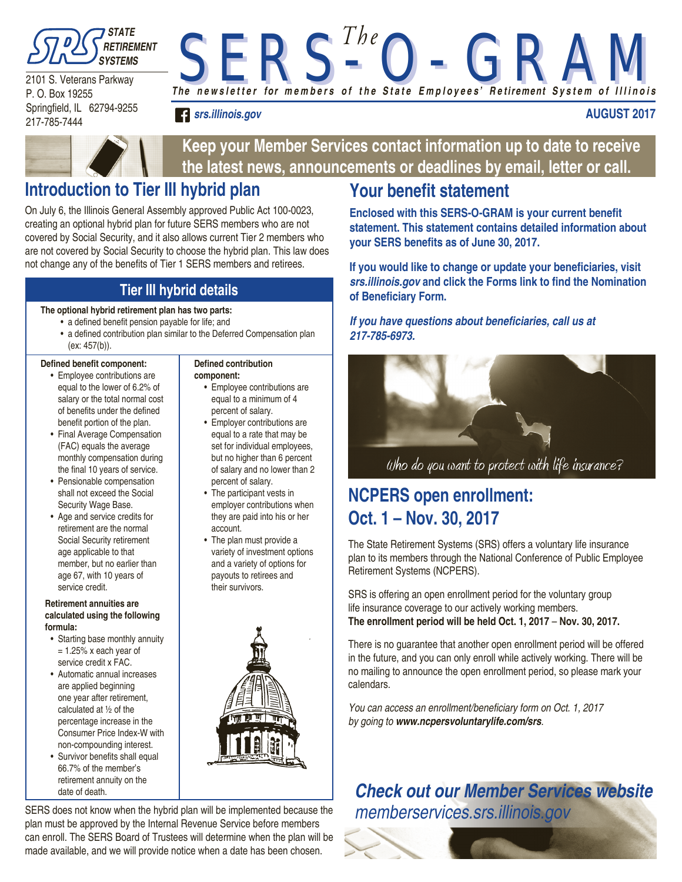

2101 S. Veterans Parkway P. O. Box 19255 Springfield, IL 62794-9255 217-785-7444

*The n e w s l e t t e r for m e m b e r s o f t h e S t a t e E m p l o y e e s' R e tirement S y s t e m o f I l l i n o i s S E R S - O - G R A M S E R S - O - G R A M T h e*

*srs.illinois.gov*

### **AUGUST 2017**



**Keep your Member Services contact information up to date to receive the latest news, announcements or deadlines by email, letter or call.**

## **Introduction to Tier III hybrid plan**

On July 6, the Illinois General Assembly approved Public Act 100-0023, creating an optional hybrid plan for future SERS members who are not covered by Social Security, and it also allows current Tier 2 members who are not covered by Social Security to choose the hybrid plan. This law does not change any of the benefits of Tier 1 SERS members and retirees.

## **Tier III hybrid details**

### **The optional hybrid retirement plan has two parts:**

- a defined benefit pension payable for life; and
	- a defined contribution plan similar to the Deferred Compensation plan (ex: 457(b)).

### **Defined benefit component:**

- Employee contributions are equal to the lower of 6.2% of salary or the total normal cost of benefits under the defined benefit portion of the plan.
- Final Average Compensation (FAC) equals the average monthly compensation during the final 10 years of service.
- Pensionable compensation shall not exceed the Social Security Wage Base.
- Age and service credits for retirement are the normal Social Security retirement age applicable to that member, but no earlier than age 67, with 10 years of service credit.

#### **Retirement annuities are calculated using the following formula:**

- Starting base monthly annuity  $= 1.25\%$  x each year of service credit x FAC.
- Automatic annual increases are applied beginning one year after retirement, calculated at ½ of the percentage increase in the Consumer Price Index-W with non-compounding interest.
- Survivor benefits shall equal 66.7% of the member's retirement annuity on the date of death.

#### **Defined contribution component:**

- Employee contributions are equal to a minimum of 4 percent of salary.
- Employer contributions are equal to a rate that may be set for individual employees, but no higher than 6 percent of salary and no lower than 2 percent of salary.
- The participant vests in employer contributions when they are paid into his or her account.
- The plan must provide a variety of investment options and a variety of options for payouts to retirees and their survivors.



SERS does not know when the hybrid plan will be implemented because the plan must be approved by the Internal Revenue Service before members can enroll. The SERS Board of Trustees will determine when the plan will be made available, and we will provide notice when a date has been chosen.

# **Your benefit statement**

**Enclosed with this SERS-O-GRAM is your current benefit statement. This statement contains detailed information about your SERS benefits as of June 30, 2017.** 

**If you would like to change or update your beneficiaries, visit**  *srs.illinois.gov* **and click the Forms link to find the Nomination of Beneficiary Form.**

### **If you have questions about beneficiaries, call us at**  *217-785-6973.*



Who do you want to protect with life insurance?

## **NCPERS open enrollment: Oct. 1 – Nov. 30, 2017**

The State Retirement Systems (SRS) offers a voluntary life insurance plan to its members through the National Conference of Public Employee Retirement Systems (NCPERS).

SRS is offering an open enrollment period for the voluntary group life insurance coverage to our actively working members. **The enrollment period will be held Oct. 1, 2017** – **Nov. 30, 2017.** 

There is no guarantee that another open enrollment period will be offered in the future, and you can only enroll while actively working. There will be no mailing to announce the open enrollment period, so please mark your calendars.

You can access an enrollment/beneficiary form on Oct. 1, 2017 by going to *www.ncpersvoluntarylife.com/srs*.

# *Check out our Member Services website* memberservices.srs.illinois.gov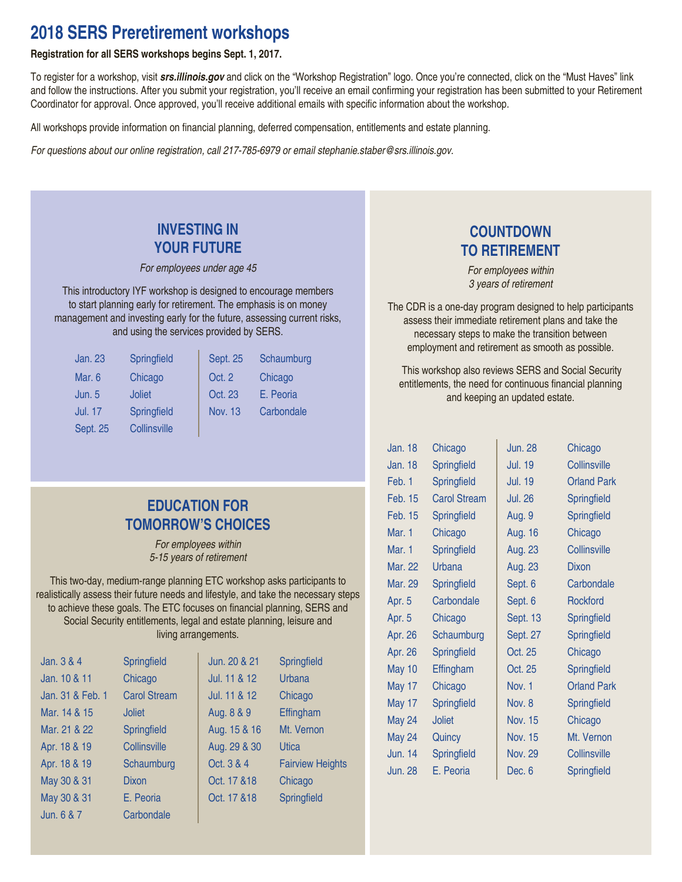## **2018 SERS Preretirement workshops**

### **Registration for all SERS workshops begins Sept. 1, 2017.**

To register for a workshop, visit *srs.illinois.gov* and click on the "Workshop Registration" logo. Once you're connected, click on the "Must Haves" link and follow the instructions. After you submit your registration, you'll receive an email confirming your registration has been submitted to your Retirement Coordinator for approval. Once approved, you'll receive additional emails with specific information about the workshop.

All workshops provide information on financial planning, deferred compensation, entitlements and estate planning.

For questions about our online registration, call 217-785-6979 or email stephanie.staber@srs.illinois.gov.

### **INVESTING IN YOUR FUTURE**

For employees under age 45

This introductory IYF workshop is designed to encourage members to start planning early for retirement. The emphasis is on money management and investing early for the future, assessing current risks, and using the services provided by SERS.

| <b>Jan. 23</b>  | Springfield   | <b>Sept. 25</b> | Schaumburg |
|-----------------|---------------|-----------------|------------|
| Mar. 6          | Chicago       | Oct. 2          | Chicago    |
| Jun. 5          | <b>Joliet</b> | Oct. 23         | E. Peoria  |
| <b>Jul. 17</b>  | Springfield   | <b>Nov. 13</b>  | Carbondale |
| <b>Sept. 25</b> | Collinsville  |                 |            |

## **COUNTDOWN TO RETIREMENT**

For employees within 3 years of retirement

The CDR is a one-day program designed to help participants assess their immediate retirement plans and take the necessary steps to make the transition between employment and retirement as smooth as possible.

 This workshop also reviews SERS and Social Security entitlements, the need for continuous financial planning and keeping an updated estate.

| Jan. 18        | Chicago             | <b>Jun. 28</b>  | Chicago             |
|----------------|---------------------|-----------------|---------------------|
| Jan. 18        | Springfield         | <b>Jul. 19</b>  | <b>Collinsville</b> |
| Feb. 1         | Springfield         | <b>Jul. 19</b>  | <b>Orland Park</b>  |
| Feb. 15        | <b>Carol Stream</b> | Jul. 26         | Springfield         |
| <b>Feb. 15</b> | Springfield         | Aug. 9          | <b>Springfield</b>  |
| Mar. 1         | Chicago             | Aug. 16         | Chicago             |
| Mar. 1         | Springfield         | Aug. 23         | Collinsville        |
| Mar. 22        | <b>Urbana</b>       | Aug. 23         | Dixon               |
| Mar. 29        | Springfield         | Sept. 6         | Carbondale          |
| Apr. 5         | Carbondale          | Sept. 6         | <b>Rockford</b>     |
| Apr. 5         | Chicago             | <b>Sept. 13</b> | Springfield         |
| Apr. 26        | Schaumburg          | Sept. 27        | Springfield         |
| Apr. 26        | Springfield         | Oct. 25         | Chicago             |
| <b>May 10</b>  | Effingham           | Oct. 25         | Springfield         |
| <b>May 17</b>  | Chicago             | Nov. 1          | <b>Orland Park</b>  |
| <b>May 17</b>  | Springfield         | Nov. 8          | Springfield         |
| <b>May 24</b>  | <b>Joliet</b>       | Nov. 15         | Chicago             |
| <b>May 24</b>  | Quincy              | Nov. 15         | Mt. Vernon          |
| Jun. 14        | Springfield         | Nov. 29         | Collinsville        |
| <b>Jun. 28</b> | E. Peoria           | Dec. 6          | Springfield         |

## **EDUCATION FOR TOMORROW'S CHOICES**

For employees within 5-15 years of retirement

This two-day, medium-range planning ETC workshop asks participants to realistically assess their future needs and lifestyle, and take the necessary steps to achieve these goals. The ETC focuses on financial planning, SERS and Social Security entitlements, legal and estate planning, leisure and living arrangements.

| Jan. 3 & 4       | Springfield         | Jun. 20 & 21 | Springfield             |
|------------------|---------------------|--------------|-------------------------|
| Jan. 10 & 11     | Chicago             | Jul. 11 & 12 | Urbana                  |
| Jan. 31 & Feb. 1 | <b>Carol Stream</b> | Jul. 11 & 12 | Chicago                 |
| Mar. 14 & 15     | <b>Joliet</b>       | Aug. 8 & 9   | Effingham               |
| Mar. 21 & 22     | Springfield         | Aug. 15 & 16 | Mt. Vernon              |
| Apr. 18 & 19     | Collinsville        | Aug. 29 & 30 | Utica                   |
| Apr. 18 & 19     | Schaumburg          | Oct. 3 & 4   | <b>Fairview Heights</b> |
| May 30 & 31      | <b>Dixon</b>        | Oct. 17 & 18 | Chicago                 |
| May 30 & 31      | E. Peoria           | Oct. 17 & 18 | Springfield             |
| Jun. $6 & 7$     | Carbondale          |              |                         |

| 0 & 21 | Springfield          |
|--------|----------------------|
| 812    | Urbana               |
| 812    | Chicago              |
| 889    | Effingham            |
| 5 & 16 | Mt. Vernon           |
| 9 & 30 | Utica                |
| & 4    | <b>Fairview Heig</b> |
| 7 & 18 | Chicago              |
| 7 & 18 | Springfield          |
|        |                      |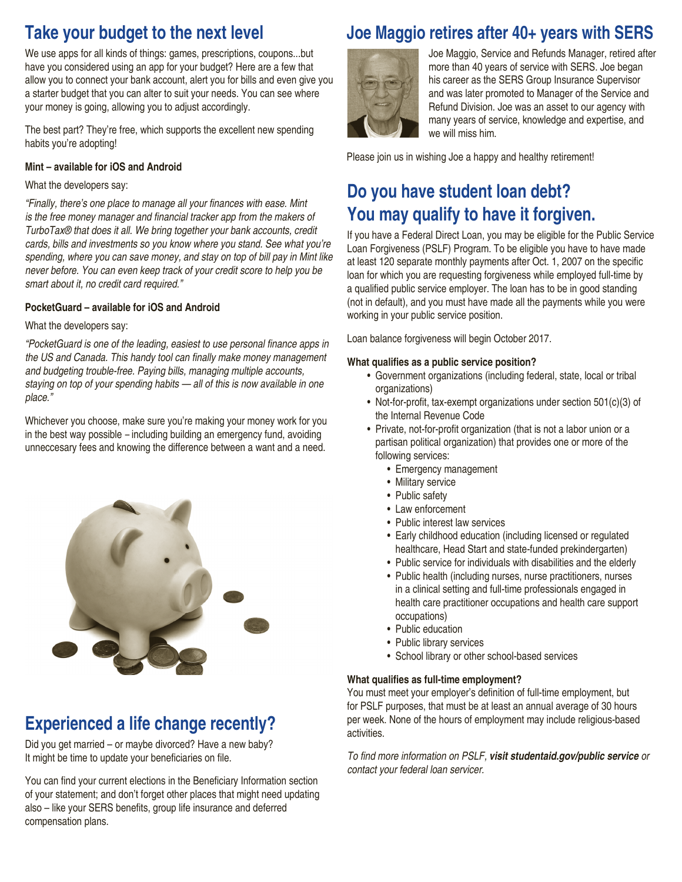## **Take your budget to the next level**

We use apps for all kinds of things: games, prescriptions, coupons...but have you considered using an app for your budget? Here are a few that allow you to connect your bank account, alert you for bills and even give you a starter budget that you can alter to suit your needs. You can see where your money is going, allowing you to adjust accordingly.

The best part? They're free, which supports the excellent new spending habits you're adopting!

#### **Mint – available for iOS and Android**

### What the developers say:

"Finally, there's one place to manage all your finances with ease. Mint is the free money manager and financial tracker app from the makers of TurboTax® that does it all. We bring together your bank accounts, credit cards, bills and investments so you know where you stand. See what you're spending, where you can save money, and stay on top of bill pay in Mint like never before. You can even keep track of your credit score to help you be smart about it, no credit card required."

### **PocketGuard – available for iOS and Android**

### What the developers say:

"PocketGuard is one of the leading, easiest to use personal finance apps in the US and Canada. This handy tool can finally make money management and budgeting trouble-free. Paying bills, managing multiple accounts, staying on top of your spending habits — all of this is now available in one place."

Whichever you choose, make sure you're making your money work for you in the best way possible – including building an emergency fund, avoiding unneccesary fees and knowing the difference between a want and a need.



## **Experienced a life change recently?**

Did you get married – or maybe divorced? Have a new baby? It might be time to update your beneficiaries on file.

You can find your current elections in the Beneficiary Information section of your statement; and don't forget other places that might need updating also – like your SERS benefits, group life insurance and deferred compensation plans.

## **Joe Maggio retires after 40+ years with SERS**



Joe Maggio, Service and Refunds Manager, retired after more than 40 years of service with SERS. Joe began his career as the SERS Group Insurance Supervisor and was later promoted to Manager of the Service and Refund Division. Joe was an asset to our agency with many years of service, knowledge and expertise, and we will miss him.

Please join us in wishing Joe a happy and healthy retirement!

## **Do you have student loan debt? You may qualify to have it forgiven.**

If you have a Federal Direct Loan, you may be eligible for the Public Service Loan Forgiveness (PSLF) Program. To be eligible you have to have made at least 120 separate monthly payments after Oct. 1, 2007 on the specific loan for which you are requesting forgiveness while employed full-time by a qualified public service employer. The loan has to be in good standing (not in default), and you must have made all the payments while you were working in your public service position.

Loan balance forgiveness will begin October 2017.

#### **What qualifies as a public service position?**

- Government organizations (including federal, state, local or tribal organizations)
- Not-for-profit, tax-exempt organizations under section 501(c)(3) of the Internal Revenue Code
- Private, not-for-profit organization (that is not a labor union or a partisan political organization) that provides one or more of the following services:
	- Emergency management
	- Military service
	- Public safety
	- Law enforcement
	- Public interest law services
	- Early childhood education (including licensed or regulated healthcare, Head Start and state-funded prekindergarten)
	- Public service for individuals with disabilities and the elderly
	- Public health (including nurses, nurse practitioners, nurses in a clinical setting and full-time professionals engaged in health care practitioner occupations and health care support occupations)
	- Public education
	- Public library services
	- School library or other school-based services

### **What qualifies as full-time employment?**

You must meet your employer's definition of full-time employment, but for PSLF purposes, that must be at least an annual average of 30 hours per week. None of the hours of employment may include religious-based activities.

To find more information on PSLF, *visit studentaid.gov/public service or*  contact your federal loan servicer.